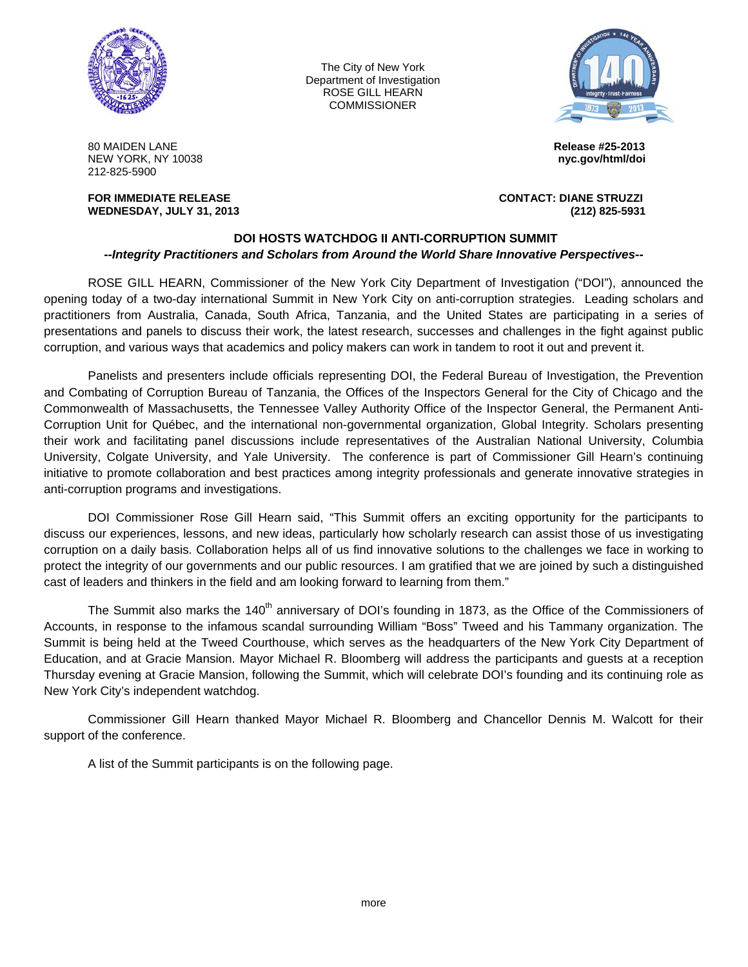

The City of New York Department of Investigation ROSE GILL HEARN **COMMISSIONER** 



80 MAIDEN LANE **Release #25-2013** NEW YORK, NY 10038 **nyc.gov/html/doi** 212-825-5900

**WEDNESDAY, JULY 31, 2013 (212) 825-5931** 

**FOR IMMEDIATE RELEASE CONTACT: DIANE STRUZZI** 

## **DOI HOSTS WATCHDOG II ANTI-CORRUPTION SUMMIT**  *--Integrity Practitioners and Scholars from Around the World Share Innovative Perspectives--*

ROSE GILL HEARN, Commissioner of the New York City Department of Investigation ("DOI"), announced the opening today of a two-day international Summit in New York City on anti-corruption strategies. Leading scholars and practitioners from Australia, Canada, South Africa, Tanzania, and the United States are participating in a series of presentations and panels to discuss their work, the latest research, successes and challenges in the fight against public corruption, and various ways that academics and policy makers can work in tandem to root it out and prevent it.

Panelists and presenters include officials representing DOI, the Federal Bureau of Investigation, the Prevention and Combating of Corruption Bureau of Tanzania, the Offices of the Inspectors General for the City of Chicago and the Commonwealth of Massachusetts, the Tennessee Valley Authority Office of the Inspector General, the Permanent Anti-Corruption Unit for Québec, and the international non-governmental organization, Global Integrity. Scholars presenting their work and facilitating panel discussions include representatives of the Australian National University, Columbia University, Colgate University, and Yale University. The conference is part of Commissioner Gill Hearn's continuing initiative to promote collaboration and best practices among integrity professionals and generate innovative strategies in anti-corruption programs and investigations.

DOI Commissioner Rose Gill Hearn said, "This Summit offers an exciting opportunity for the participants to discuss our experiences, lessons, and new ideas, particularly how scholarly research can assist those of us investigating corruption on a daily basis. Collaboration helps all of us find innovative solutions to the challenges we face in working to protect the integrity of our governments and our public resources. I am gratified that we are joined by such a distinguished cast of leaders and thinkers in the field and am looking forward to learning from them."

The Summit also marks the 140<sup>th</sup> anniversary of DOI's founding in 1873, as the Office of the Commissioners of Accounts, in response to the infamous scandal surrounding William "Boss" Tweed and his Tammany organization. The Summit is being held at the Tweed Courthouse, which serves as the headquarters of the New York City Department of Education, and at Gracie Mansion. Mayor Michael R. Bloomberg will address the participants and guests at a reception Thursday evening at Gracie Mansion, following the Summit, which will celebrate DOI's founding and its continuing role as New York City's independent watchdog.

Commissioner Gill Hearn thanked Mayor Michael R. Bloomberg and Chancellor Dennis M. Walcott for their support of the conference.

A list of the Summit participants is on the following page.